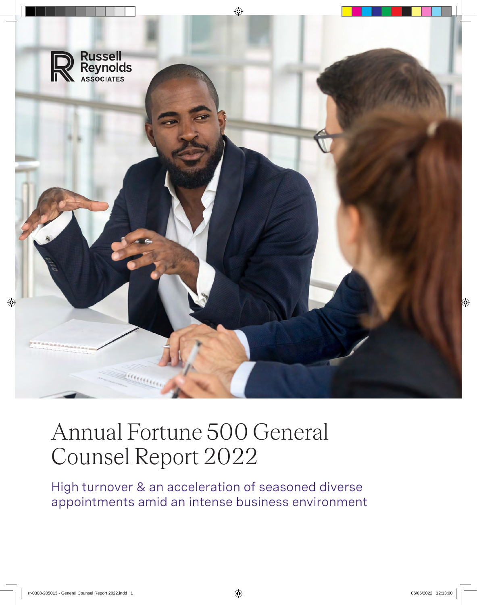

# Annual Fortune 500 General Counsel Report 2022

High turnover & an acceleration of seasoned diverse appointments amid an intense business environment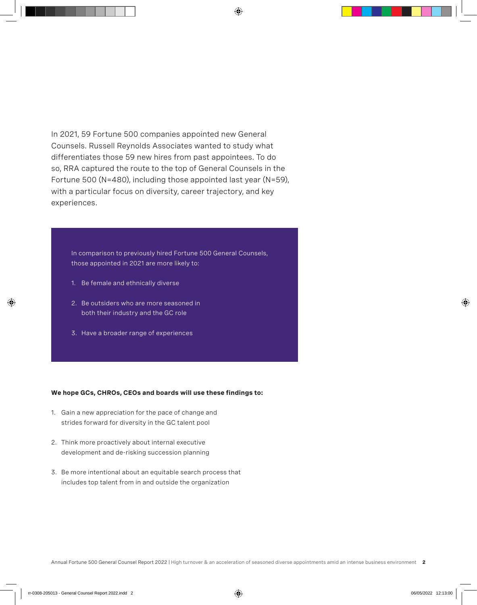In 2021, 59 Fortune 500 companies appointed new General Counsels. Russell Reynolds Associates wanted to study what differentiates those 59 new hires from past appointees. To do so, RRA captured the route to the top of General Counsels in the Fortune 500 (N=480), including those appointed last year (N=59), with a particular focus on diversity, career trajectory, and key experiences.

In comparison to previously hired Fortune 500 General Counsels, those appointed in 2021 are more likely to:

- 1. Be female and ethnically diverse
- 2. Be outsiders who are more seasoned in both their industry and the GC role
- 3. Have a broader range of experiences

#### **We hope GCs, CHROs, CEOs and boards will use these findings to:**

- 1. Gain a new appreciation for the pace of change and strides forward for diversity in the GC talent pool
- 2. Think more proactively about internal executive development and de-risking succession planning
- 3. Be more intentional about an equitable search process that includes top talent from in and outside the organization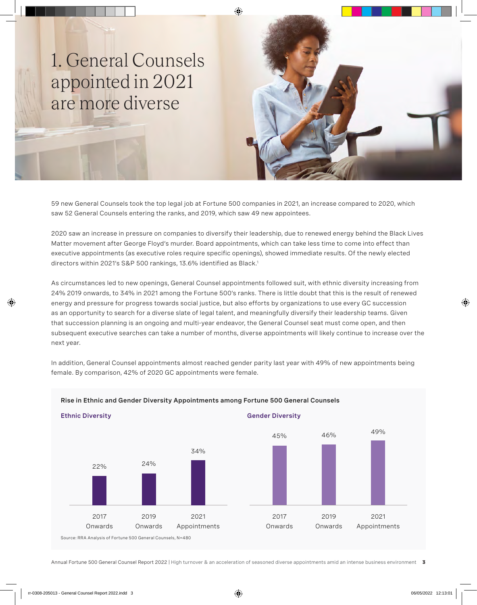## 1. General Counsels appointed in 2021 are more diverse

59 new General Counsels took the top legal job at Fortune 500 companies in 2021, an increase compared to 2020, which saw 52 General Counsels entering the ranks, and 2019, which saw 49 new appointees.

2020 saw an increase in pressure on companies to diversify their leadership, due to renewed energy behind the Black Lives Matter movement after George Floyd's murder. Board appointments, which can take less time to come into effect than executive appointments (as executive roles require specific openings), showed immediate results. Of the newly elected directors within 2021's S&P 500 rankings, 13.6% identified as Black.<sup>1</sup>

As circumstances led to new openings, General Counsel appointments followed suit, with ethnic diversity increasing from 24% 2019 onwards, to 34% in 2021 among the Fortune 500's ranks. There is little doubt that this is the result of renewed energy and pressure for progress towards social justice, but also efforts by organizations to use every GC succession as an opportunity to search for a diverse slate of legal talent, and meaningfully diversify their leadership teams. Given that succession planning is an ongoing and multi-year endeavor, the General Counsel seat must come open, and then subsequent executive searches can take a number of months, diverse appointments will likely continue to increase over the next year.

In addition, General Counsel appointments almost reached gender parity last year with 49% of new appointments being female. By comparison, 42% of 2020 GC appointments were female.



#### **Rise in Ethnic and Gender Diversity Appointments among Fortune 500 General Counsels**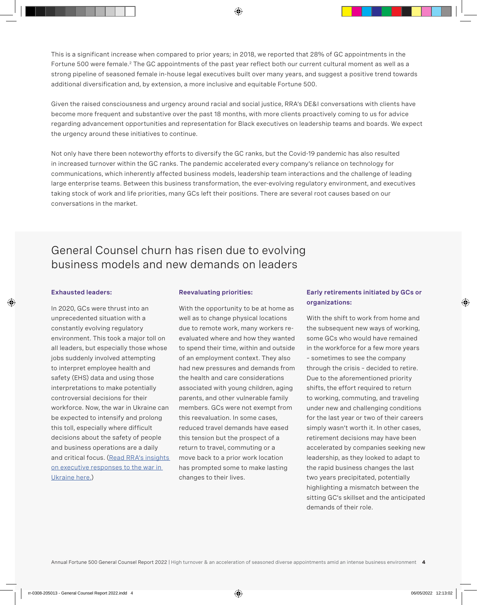This is a significant increase when compared to prior years; in 2018, we reported that 28% of GC appointments in the Fortune 500 were female.<sup>2</sup> The GC appointments of the past year reflect both our current cultural moment as well as a strong pipeline of seasoned female in-house legal executives built over many years, and suggest a positive trend towards additional diversification and, by extension, a more inclusive and equitable Fortune 500.

Given the raised consciousness and urgency around racial and social justice, RRA's DE&I conversations with clients have become more frequent and substantive over the past 18 months, with more clients proactively coming to us for advice regarding advancement opportunities and representation for Black executives on leadership teams and boards. We expect the urgency around these initiatives to continue.

Not only have there been noteworthy efforts to diversify the GC ranks, but the Covid-19 pandemic has also resulted in increased turnover within the GC ranks. The pandemic accelerated every company's reliance on technology for communications, which inherently affected business models, leadership team interactions and the challenge of leading large enterprise teams. Between this business transformation, the ever-evolving regulatory environment, and executives taking stock of work and life priorities, many GCs left their positions. There are several root causes based on our conversations in the market.

### General Counsel churn has risen due to evolving business models and new demands on leaders

#### **Exhausted leaders:**

In 2020, GCs were thrust into an unprecedented situation with a constantly evolving regulatory environment. This took a major toll on all leaders, but especially those whose jobs suddenly involved attempting to interpret employee health and safety (EHS) data and using those interpretations to make potentially controversial decisions for their workforce. Now, the war in Ukraine can be expected to intensify and prolong this toll, especially where difficult decisions about the safety of people and business operations are a daily and critical focus. [\(Read RRA's insights](https://www.russellreynolds.com/en/insights/articles/the-ukraine-crisis-how-are-global-ceos-responding)  [on executive responses to the war in](https://www.russellreynolds.com/en/insights/articles/the-ukraine-crisis-how-are-global-ceos-responding)  [Ukraine here.\)](https://www.russellreynolds.com/en/insights/articles/the-ukraine-crisis-how-are-global-ceos-responding)

#### **Reevaluating priorities:**

With the opportunity to be at home as well as to change physical locations due to remote work, many workers reevaluated where and how they wanted to spend their time, within and outside of an employment context. They also had new pressures and demands from the health and care considerations associated with young children, aging parents, and other vulnerable family members. GCs were not exempt from this reevaluation. In some cases, reduced travel demands have eased this tension but the prospect of a return to travel, commuting or a move back to a prior work location has prompted some to make lasting changes to their lives.

#### **Early retirements initiated by GCs or organizations:**

With the shift to work from home and the subsequent new ways of working, some GCs who would have remained in the workforce for a few more years – sometimes to see the company through the crisis – decided to retire. Due to the aforementioned priority shifts, the effort required to return to working, commuting, and traveling under new and challenging conditions for the last year or two of their careers simply wasn't worth it. In other cases, retirement decisions may have been accelerated by companies seeking new leadership, as they looked to adapt to the rapid business changes the last two years precipitated, potentially highlighting a mismatch between the sitting GC's skillset and the anticipated demands of their role.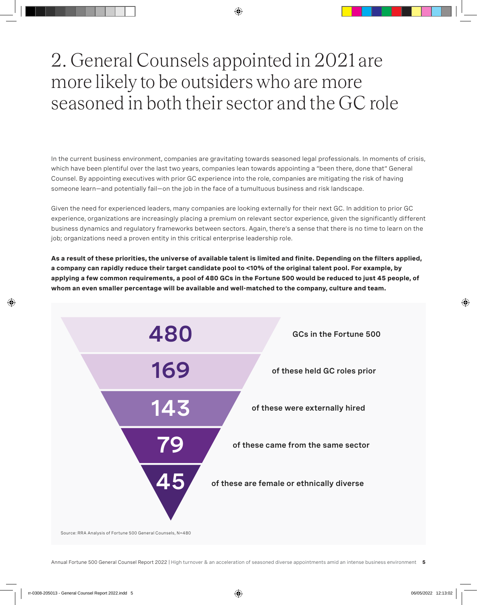# 2. General Counsels appointed in 2021 are more likely to be outsiders who are more seasoned in both their sector and the GC role

In the current business environment, companies are gravitating towards seasoned legal professionals. In moments of crisis, which have been plentiful over the last two years, companies lean towards appointing a "been there, done that" General Counsel. By appointing executives with prior GC experience into the role, companies are mitigating the risk of having someone learn—and potentially fail—on the job in the face of a tumultuous business and risk landscape.

Given the need for experienced leaders, many companies are looking externally for their next GC. In addition to prior GC experience, organizations are increasingly placing a premium on relevant sector experience, given the significantly different business dynamics and regulatory frameworks between sectors. Again, there's a sense that there is no time to learn on the job; organizations need a proven entity in this critical enterprise leadership role.

**As a result of these priorities, the universe of available talent is limited and finite. Depending on the filters applied, a company can rapidly reduce their target candidate pool to <10% of the original talent pool. For example, by applying a few common requirements, a pool of 480 GCs in the Fortune 500 would be reduced to just 45 people, of whom an even smaller percentage will be available and well-matched to the company, culture and team.** 

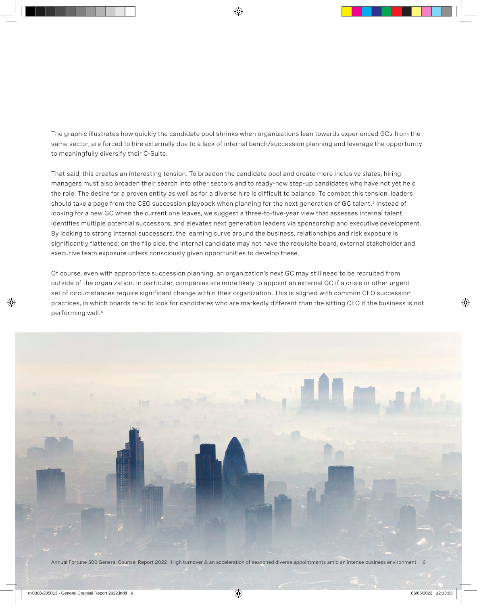The graphic illustrates how quickly the candidate pool shrinks when organizations lean towards experienced GCs from the same sector, are forced to hire externally due to a lack of internal bench/succession planning and leverage the opportunity to meaningfully diversify their C-Suite.

That said, this creates an interesting tension. To broaden the candidate pool and create more inclusive slates, hiring managers must also broaden their search into other sectors and to ready-now step-up candidates who have not yet held the role. The desire for a proven entity as well as for a diverse hire is difficult to balance. To combat this tension, leaders should take a page from the CEO succession playbook when planning for the next generation of GC talent.<sup>3</sup> Instead of looking for a new GC when the current one leaves, we suggest a three-to-five-year view that assesses internal talent, identifies multiple potential successors, and elevates next generation leaders via sponsorship and executive development. By looking to strong internal successors, the learning curve around the business, relationships and risk exposure is significantly flattened; on the flip side, the internal candidate may not have the requisite board, external stakeholder and executive team exposure unless consciously given opportunities to develop these.

Of course, even with appropriate succession planning, an organization's next GC may still need to be recruited from outside of the organization. In particular, companies are more likely to appoint an external GC if a crisis or other urgent set of circumstances require significant change within their organization. This is aligned with common CEO succession practices, in which boards tend to look for candidates who are markedly different than the sitting CEO if the business is not performing well.4

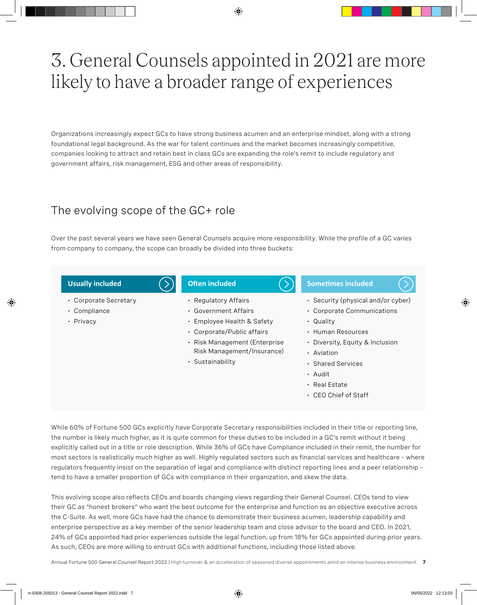# 3. General Counsels appointed in 2021 are more likely to have a broader range of experiences

Organizations increasingly expect GCs to have strong business acumen and an enterprise mindset, along with a strong foundational legal background. As the war for talent continues and the market becomes increasingly competitive, companies looking to attract and retain best in class GCs are expanding the role's remit to include regulatory and government affairs, risk management, ESG and other areas of responsibility.

### The evolving scope of the GC+ role

Over the past several years we have seen General Counsels acquire more responsibility. While the profile of a GC varies from company to company, the scope can broadly be divided into three buckets:



While 60% of Fortune 500 GCs explicitly have Corporate Secretary responsibilities included in their title or reporting line, the number is likely much higher, as it is quite common for these duties to be included in a GC's remit without it being explicitly called out in a title or role description. While 36% of GCs have Compliance included in their remit, the number for most sectors is realistically much higher as well. Highly regulated sectors such as financial services and healthcare – where regulators frequently insist on the separation of legal and compliance with distinct reporting lines and a peer relationship – tend to have a smaller proportion of GCs with compliance in their organization, and skew the data.

This evolving scope also reflects CEOs and boards changing views regarding their General Counsel. CEOs tend to view their GC as "honest brokers" who want the best outcome for the enterprise and function as an objective executive across the C-Suite. As well, more GCs have had the chance to demonstrate their business acumen, leadership capability and enterprise perspective as a key member of the senior leadership team and close advisor to the board and CEO. In 2021, 24% of GCs appointed had prior experiences outside the legal function, up from 18% for GCs appointed during prior years. As such, CEOs are more willing to entrust GCs with additional functions, including those listed above.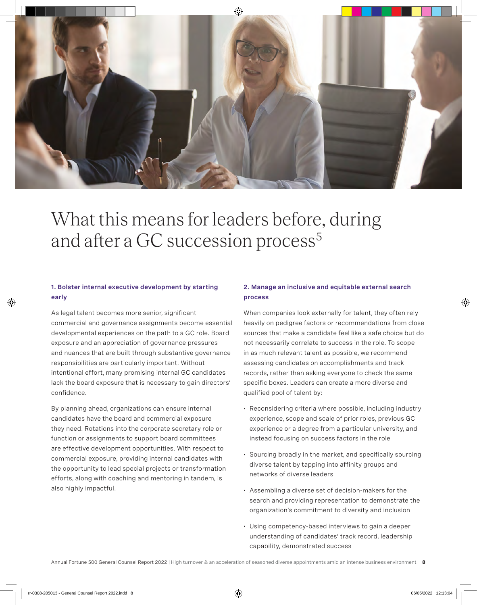

## What this means for leaders before, during and after a GC succession process<sup>5</sup>

#### **1. Bolster internal executive development by starting early**

As legal talent becomes more senior, significant commercial and governance assignments become essential developmental experiences on the path to a GC role. Board exposure and an appreciation of governance pressures and nuances that are built through substantive governance responsibilities are particularly important. Without intentional effort, many promising internal GC candidates lack the board exposure that is necessary to gain directors' confidence.

By planning ahead, organizations can ensure internal candidates have the board and commercial exposure they need. Rotations into the corporate secretary role or function or assignments to support board committees are effective development opportunities. With respect to commercial exposure, providing internal candidates with the opportunity to lead special projects or transformation efforts, along with coaching and mentoring in tandem, is also highly impactful.

#### **2. Manage an inclusive and equitable external search process**

When companies look externally for talent, they often rely heavily on pedigree factors or recommendations from close sources that make a candidate feel like a safe choice but do not necessarily correlate to success in the role. To scope in as much relevant talent as possible, we recommend assessing candidates on accomplishments and track records, rather than asking everyone to check the same specific boxes. Leaders can create a more diverse and qualified pool of talent by:

- Reconsidering criteria where possible, including industry experience, scope and scale of prior roles, previous GC experience or a degree from a particular university, and instead focusing on success factors in the role
- Sourcing broadly in the market, and specifically sourcing diverse talent by tapping into affinity groups and networks of diverse leaders
- Assembling a diverse set of decision-makers for the search and providing representation to demonstrate the organization's commitment to diversity and inclusion
- Using competency-based interviews to gain a deeper understanding of candidates' track record, leadership capability, demonstrated success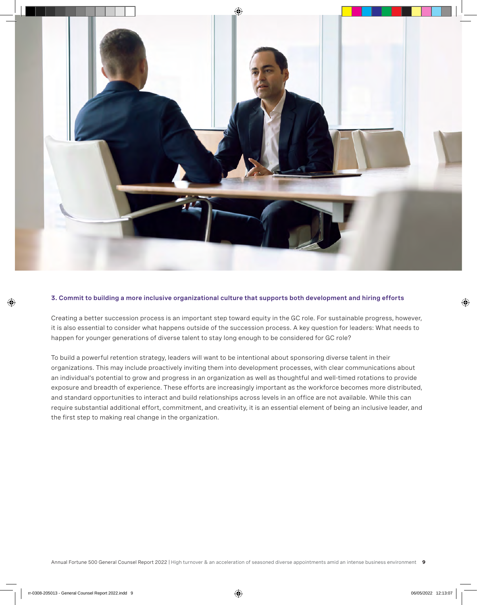

#### **3. Commit to building a more inclusive organizational culture that supports both development and hiring efforts**

Creating a better succession process is an important step toward equity in the GC role. For sustainable progress, however, it is also essential to consider what happens outside of the succession process. A key question for leaders: What needs to happen for younger generations of diverse talent to stay long enough to be considered for GC role?

To build a powerful retention strategy, leaders will want to be intentional about sponsoring diverse talent in their organizations. This may include proactively inviting them into development processes, with clear communications about an individual's potential to grow and progress in an organization as well as thoughtful and well-timed rotations to provide exposure and breadth of experience. These efforts are increasingly important as the workforce becomes more distributed, and standard opportunities to interact and build relationships across levels in an office are not available. While this can require substantial additional effort, commitment, and creativity, it is an essential element of being an inclusive leader, and the first step to making real change in the organization.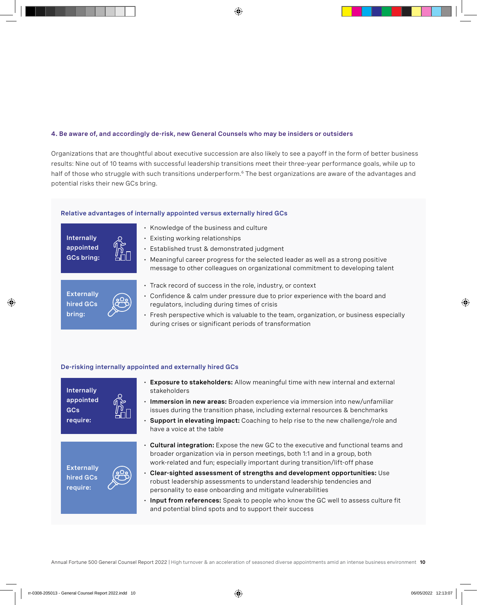#### **4. Be aware of, and accordingly de-risk, new General Counsels who may be insiders or outsiders**

Organizations that are thoughtful about executive succession are also likely to see a payoff in the form of better business results: Nine out of 10 teams with successful leadership transitions meet their three-year performance goals, while up to half of those who struggle with such transitions underperform.<sup>6</sup> The best organizations are aware of the advantages and potential risks their new GCs bring.

#### **Relative advantages of internally appointed versus externally hired GCs**

**Internally appointed GCs bring:**

- Knowledge of the business and culture
- Existing working relationships
- Established trust & demonstrated judgment
- Meaningful career progress for the selected leader as well as a strong positive message to other colleagues on organizational commitment to developing talent



- Track record of success in the role, industry, or context
- Confidence & calm under pressure due to prior experience with the board and regulators, including during times of crisis
- Fresh perspective which is valuable to the team, organization, or business especially during crises or significant periods of transformation

#### **De-risking internally appointed and externally hired GCs**









- **Exposure to stakeholders:** Allow meaningful time with new internal and external stakeholders
- **Immersion in new areas:** Broaden experience via immersion into new/unfamiliar issues during the transition phase, including external resources & benchmarks
- **Support in elevating impact:** Coaching to help rise to the new challenge/role and have a voice at the table
- **Cultural integration:** Expose the new GC to the executive and functional teams and broader organization via in person meetings, both 1:1 and in a group, both work-related and fun; especially important during transition/lift-off phase
- **Clear-sighted assessment of strengths and development opportunities:** Use robust leadership assessments to understand leadership tendencies and personality to ease onboarding and mitigate vulnerabilities
- **Input from references:** Speak to people who know the GC well to assess culture fit and potential blind spots and to support their success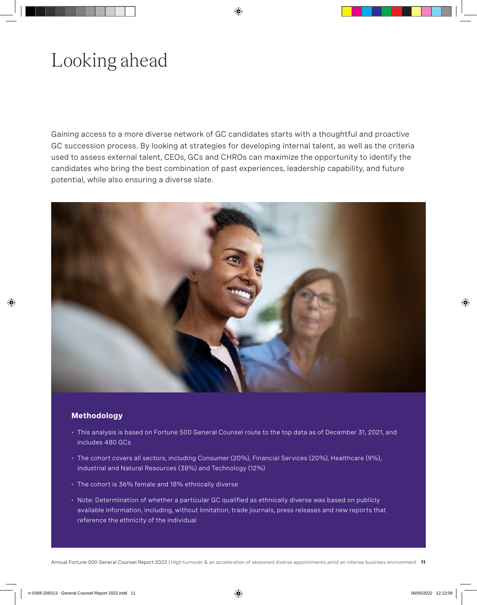# Looking ahead

Gaining access to a more diverse network of GC candidates starts with a thoughtful and proactive GC succession process. By looking at strategies for developing internal talent, as well as the criteria used to assess external talent, CEOs, GCs and CHROs can maximize the opportunity to identify the candidates who bring the best combination of past experiences, leadership capability, and future potential, while also ensuring a diverse slate.



#### **Methodology**

- This analysis is based on Fortune 500 General Counsel route to the top data as of December 31, 2021, and includes 480 GCs
- The cohort covers all sectors, including Consumer (20%), Financial Services (20%), Healthcare (9%), Industrial and Natural Resources (38%) and Technology (12%)
- The cohort is 36% female and 18% ethnically diverse
- Note: Determination of whether a particular GC qualified as ethnically diverse was based on publicly available information, including, without limitation, trade journals, press releases and new reports that reference the ethnicity of the individual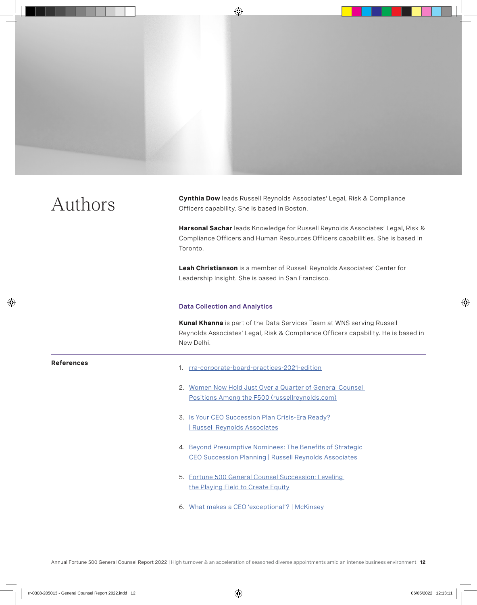Authors **Cynthia Dow** leads Russell Reynolds Associates' Legal, Risk & Compliance<br>Officers canability, She is hased in Boston Officers capability. She is based in Boston.

> **Harsonal Sachar** leads Knowledge for Russell Reynolds Associates' Legal, Risk & Compliance Officers and Human Resources Officers capabilities. She is based in Toronto.

**Leah Christianson** is a member of Russell Reynolds Associates' Center for Leadership Insight. She is based in San Francisco.

#### **Data Collection and Analytics**

**Kunal Khanna** is part of the Data Services Team at WNS serving Russell Reynolds Associates' Legal, Risk & Compliance Officers capability. He is based in New Delhi.

#### **References**

- 1. [rra-corporate-board-practices-2021-edition](https://mss-p-053-delivery.stylelabs.cloud/api/public/content/rra-corporate-board-practices-2021-edition?v=459d94dd)
- 2. [Women Now Hold Just Over a Quarter of General Counsel](https://www.russellreynolds.com/en/insights/reports-surveys/more-women-than-ever-before-in-general-counsel-role-at-f500-companies)  [Positions Among the F500 \(russellreynolds.com\)](https://www.russellreynolds.com/en/insights/reports-surveys/more-women-than-ever-before-in-general-counsel-role-at-f500-companies)
- 3. [Is Your CEO Succession Plan Crisis-Era Ready?](https://www.russellreynolds.com/en/insights/articles/is-your-ceo-succession-plan-crisis-era-ready)  [| Russell Reynolds Associates](https://www.russellreynolds.com/en/insights/articles/is-your-ceo-succession-plan-crisis-era-ready)
- 4. [Beyond Presumptive Nominees: The Benefits of Strategic](https://www.russellreynolds.com/en/insights/reports-surveys/beyond-presumptive-nominees-the-benefits-of-strategic-ceo-succession-planning)  [CEO Succession Planning | Russell Reynolds Associates](https://www.russellreynolds.com/en/insights/reports-surveys/beyond-presumptive-nominees-the-benefits-of-strategic-ceo-succession-planning)
- 5. [Fortune 500 General Counsel Succession: Leveling](https://www.russellreynolds.com/en/insights/reports-surveys/fortune-500-general-counsel-succession-leveling-the-playing-field-to-create-equity)  [the Playing Field to Create Equity](https://www.russellreynolds.com/en/insights/reports-surveys/fortune-500-general-counsel-succession-leveling-the-playing-field-to-create-equity)
- 6. [What makes a CEO 'exceptional'? | McKinsey](https://www.mckinsey.com/business-functions/strategy-and-corporate-finance/our-insights/what-makes-a-ceo-exceptional)